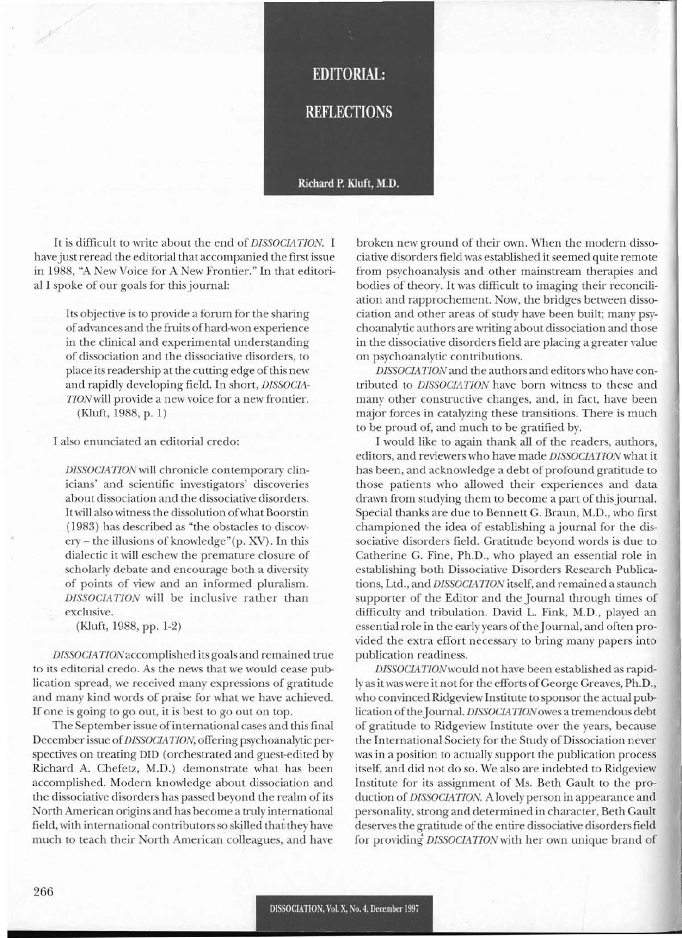## **EDITORIAL:**

**REFLECTIONS** 

## Richard P. Kluft, M.D.

It is difficult to write about the end of *DISSOCIATION.* I have just reread the editorial that accompanied the first issue in 1988, "A New Voice for A New Frontier." In that editorial I spoke of our goals for thisjournal:

> Its objective is to provide a forum for the sharing of advances and the fruits of hard-won experience in the clinical and experimental understanding of dissociation and the dissociative disorders, to place its readership at the cutting edge of this new and rapidly developing field. In short, *DISSOCIA-TIONwill* provide a new voice for a new frontier. (Kluft, 1988, p. 1)

I also enunciated an editorial credo:

*DISSOCIATJONwiJl* chronicle contemporary clinicians' and scientific investigators' discoveries about dissociation and the dissociative disorders. It will also witness the dissolution of what Boorstin (1983) has described as "the obstacles to discovery – the illusions of knowledge"(p. XV). In this dialectic it will eschew the premature closure of scholarly debate and encourage both a diversity of points of view and an informed pluralism. *DISSOCIA TION* will be inclusive rather than exclusive.

(Kluft, 1988, pp. 1-2)

*DISSOCIA* 710Naccomplished its goals and remained true to its editorial credo. As the news that we would cease publication spread, we received many expressions of gratitude and many kind words of praise for what we have achieved. If one is going to go out, it is best to go out on top.

The September issue ofinternational cases and this final December issue of*DISSOCIATJON,* offering psychoanalytic perspectives on treating DID (orchestrated and guest-edited by Richard A. Chefetz, M.D.) demonstrate what has been accomplished. Modern knowledge about dissociation and the dissociative disorders has passed beyond the realm of its North American origins and has become a truly international field, with international contributors so skilled that they have much to teach their North American colleagues, and have

broken new ground of their own. When the modern dissociative disorders field was established it seemed quite remote from psychoanalysis and other mainstream therapies and bodies of theory. It was difficult to imaging their reconciliation and rapprochement. Now, the bridges between dissociation and other areas of study have been built; many psychoanalytic authors are m'iting about dissociation and those in the dissociative disorders field are placing a greater value on psychoanalytic contributions.

*DISSOCIA TJON* and the authors and editors who have contributed to *DISSOCIATION* have born witness to these and many other constructive changes, and, in fact, have been major forces in catalyzing these transitions. There is much to be proud of, and much to be gratified by.

I would like to again thank all of the readers, authors, editors, and reviewers who have made *DISSOCIATION* what it has been, and acknowledge a debt of profound gratitude to those patients who allowed their experiences and data drawn from studying them to become a part of this journal. Special thanks are due to Bennett G. Braun, M.D., who first championed the idea of establishing a journal for the dissociative disorders field. Gratitude beyond words is due to Catherine G. Fine, Ph.D., who played an essential role in establishing both Dissociative Disorders Research Publications, Ltd., and *DISSOCIATION* itself, and remained a staunch supporter of the Editor and the Journal through times of difficulty and tribulation. David L. Fink, M.D., played an essential role in the early years of the Journal, and often provided the extra effort necessary to bring many papers into publication readiness.

*DISSOCIA TJONwould* not have been established as rapidly as it was were it not for the efforts of George Greaves, Ph.D., who convinced Ridgeview Institute to sponsor the actual publication of the Journal. *DISSOCIATION* owes a tremendous debt of gratitude to Ridgeview Institute over the years, because the International Society for the Study of Dissociation never was in a position to actually support the publication process itself, and did not do so. We also are indebted to Ridgeview Institute for its assignment of Ms. Beth Gault to the production of *DISSOCIATION.* A lovely person in appearance and personality, strong and determined in character, Beth Gault deserves the gratitude of the entire dissociative disorders field for providing DISSOCIATION with her own unique brand of